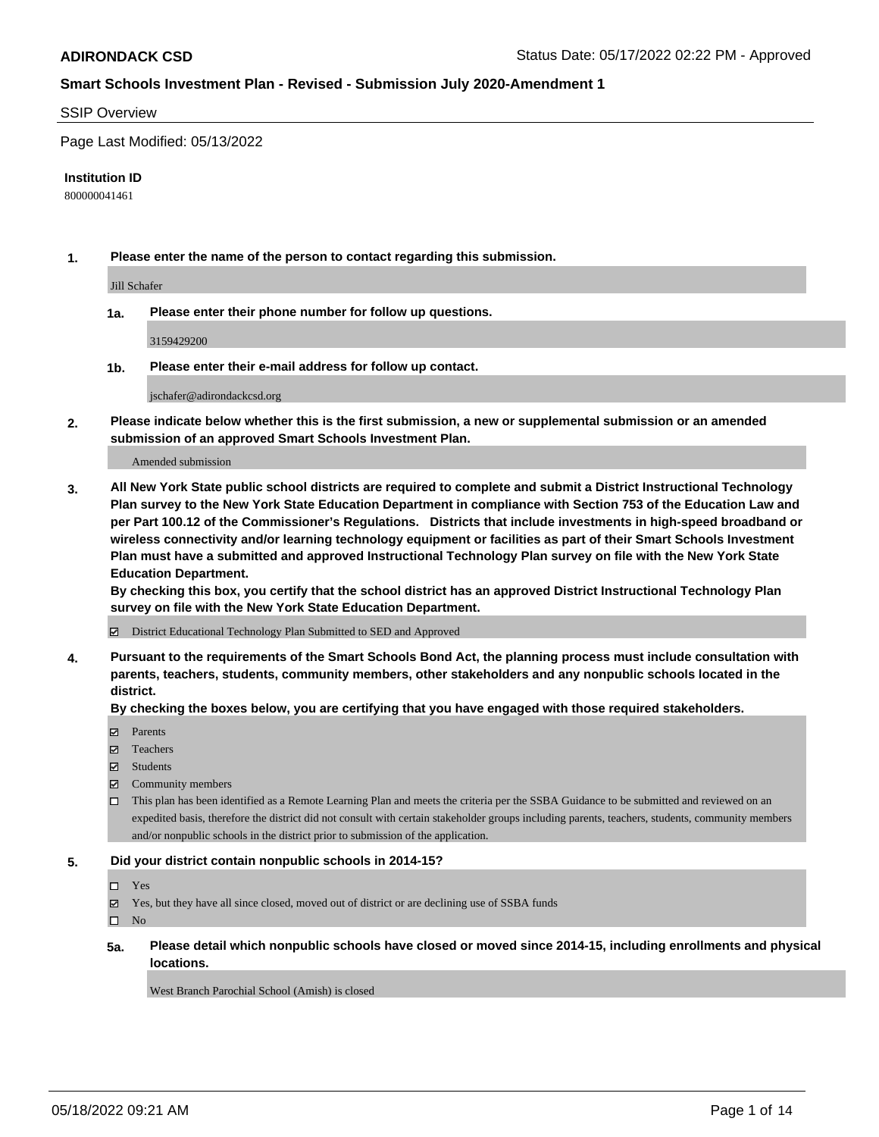#### SSIP Overview

Page Last Modified: 05/13/2022

#### **Institution ID**

800000041461

**1. Please enter the name of the person to contact regarding this submission.**

Jill Schafer

**1a. Please enter their phone number for follow up questions.**

3159429200

**1b. Please enter their e-mail address for follow up contact.**

jschafer@adirondackcsd.org

**2. Please indicate below whether this is the first submission, a new or supplemental submission or an amended submission of an approved Smart Schools Investment Plan.**

Amended submission

**3. All New York State public school districts are required to complete and submit a District Instructional Technology Plan survey to the New York State Education Department in compliance with Section 753 of the Education Law and per Part 100.12 of the Commissioner's Regulations. Districts that include investments in high-speed broadband or wireless connectivity and/or learning technology equipment or facilities as part of their Smart Schools Investment Plan must have a submitted and approved Instructional Technology Plan survey on file with the New York State Education Department.** 

**By checking this box, you certify that the school district has an approved District Instructional Technology Plan survey on file with the New York State Education Department.**

District Educational Technology Plan Submitted to SED and Approved

**4. Pursuant to the requirements of the Smart Schools Bond Act, the planning process must include consultation with parents, teachers, students, community members, other stakeholders and any nonpublic schools located in the district.** 

**By checking the boxes below, you are certifying that you have engaged with those required stakeholders.**

- $\blacksquare$  Parents
- Teachers
- Students
- $\Xi$  Community members
- This plan has been identified as a Remote Learning Plan and meets the criteria per the SSBA Guidance to be submitted and reviewed on an expedited basis, therefore the district did not consult with certain stakeholder groups including parents, teachers, students, community members and/or nonpublic schools in the district prior to submission of the application.

#### **5. Did your district contain nonpublic schools in 2014-15?**

- Yes
- $\boxtimes$  Yes, but they have all since closed, moved out of district or are declining use of SSBA funds

 $\square$  No

**5a. Please detail which nonpublic schools have closed or moved since 2014-15, including enrollments and physical locations.**

West Branch Parochial School (Amish) is closed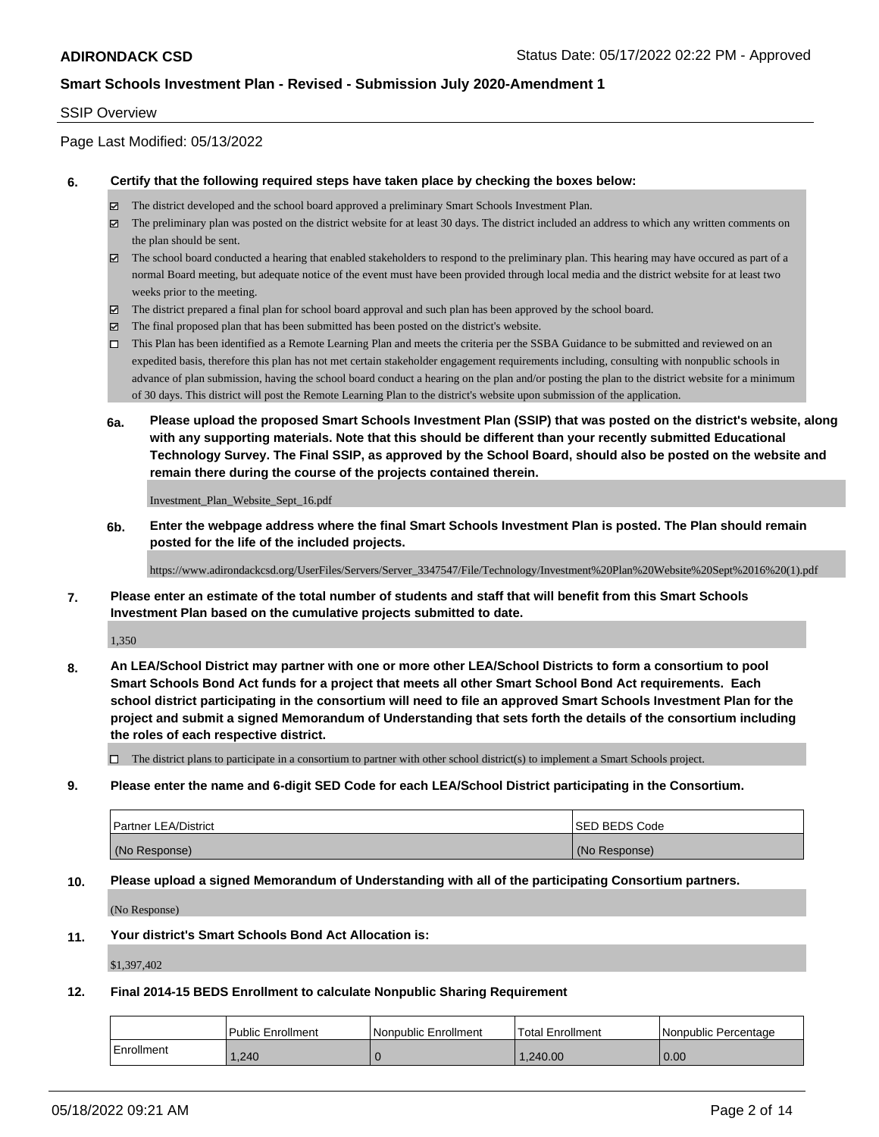#### SSIP Overview

Page Last Modified: 05/13/2022

#### **6. Certify that the following required steps have taken place by checking the boxes below:**

- The district developed and the school board approved a preliminary Smart Schools Investment Plan.
- $\boxtimes$  The preliminary plan was posted on the district website for at least 30 days. The district included an address to which any written comments on the plan should be sent.
- $\boxtimes$  The school board conducted a hearing that enabled stakeholders to respond to the preliminary plan. This hearing may have occured as part of a normal Board meeting, but adequate notice of the event must have been provided through local media and the district website for at least two weeks prior to the meeting.
- The district prepared a final plan for school board approval and such plan has been approved by the school board.
- $\boxtimes$  The final proposed plan that has been submitted has been posted on the district's website.
- This Plan has been identified as a Remote Learning Plan and meets the criteria per the SSBA Guidance to be submitted and reviewed on an expedited basis, therefore this plan has not met certain stakeholder engagement requirements including, consulting with nonpublic schools in advance of plan submission, having the school board conduct a hearing on the plan and/or posting the plan to the district website for a minimum of 30 days. This district will post the Remote Learning Plan to the district's website upon submission of the application.
- **6a. Please upload the proposed Smart Schools Investment Plan (SSIP) that was posted on the district's website, along with any supporting materials. Note that this should be different than your recently submitted Educational Technology Survey. The Final SSIP, as approved by the School Board, should also be posted on the website and remain there during the course of the projects contained therein.**

Investment\_Plan\_Website\_Sept\_16.pdf

**6b. Enter the webpage address where the final Smart Schools Investment Plan is posted. The Plan should remain posted for the life of the included projects.**

https://www.adirondackcsd.org/UserFiles/Servers/Server\_3347547/File/Technology/Investment%20Plan%20Website%20Sept%2016%20(1).pdf

**7. Please enter an estimate of the total number of students and staff that will benefit from this Smart Schools Investment Plan based on the cumulative projects submitted to date.**

1,350

**8. An LEA/School District may partner with one or more other LEA/School Districts to form a consortium to pool Smart Schools Bond Act funds for a project that meets all other Smart School Bond Act requirements. Each school district participating in the consortium will need to file an approved Smart Schools Investment Plan for the project and submit a signed Memorandum of Understanding that sets forth the details of the consortium including the roles of each respective district.**

 $\Box$  The district plans to participate in a consortium to partner with other school district(s) to implement a Smart Schools project.

**9. Please enter the name and 6-digit SED Code for each LEA/School District participating in the Consortium.**

| <b>Partner LEA/District</b> | <b>ISED BEDS Code</b> |
|-----------------------------|-----------------------|
| (No Response)               | (No Response)         |

#### **10. Please upload a signed Memorandum of Understanding with all of the participating Consortium partners.**

(No Response)

#### **11. Your district's Smart Schools Bond Act Allocation is:**

\$1,397,402

#### **12. Final 2014-15 BEDS Enrollment to calculate Nonpublic Sharing Requirement**

|            | <b>Public Enrollment</b> | Nonpublic Enrollment | <b>Total Enrollment</b> | l Nonpublic Percentage |
|------------|--------------------------|----------------------|-------------------------|------------------------|
| Enrollment | .240                     |                      | 1.240.00                | 0.00                   |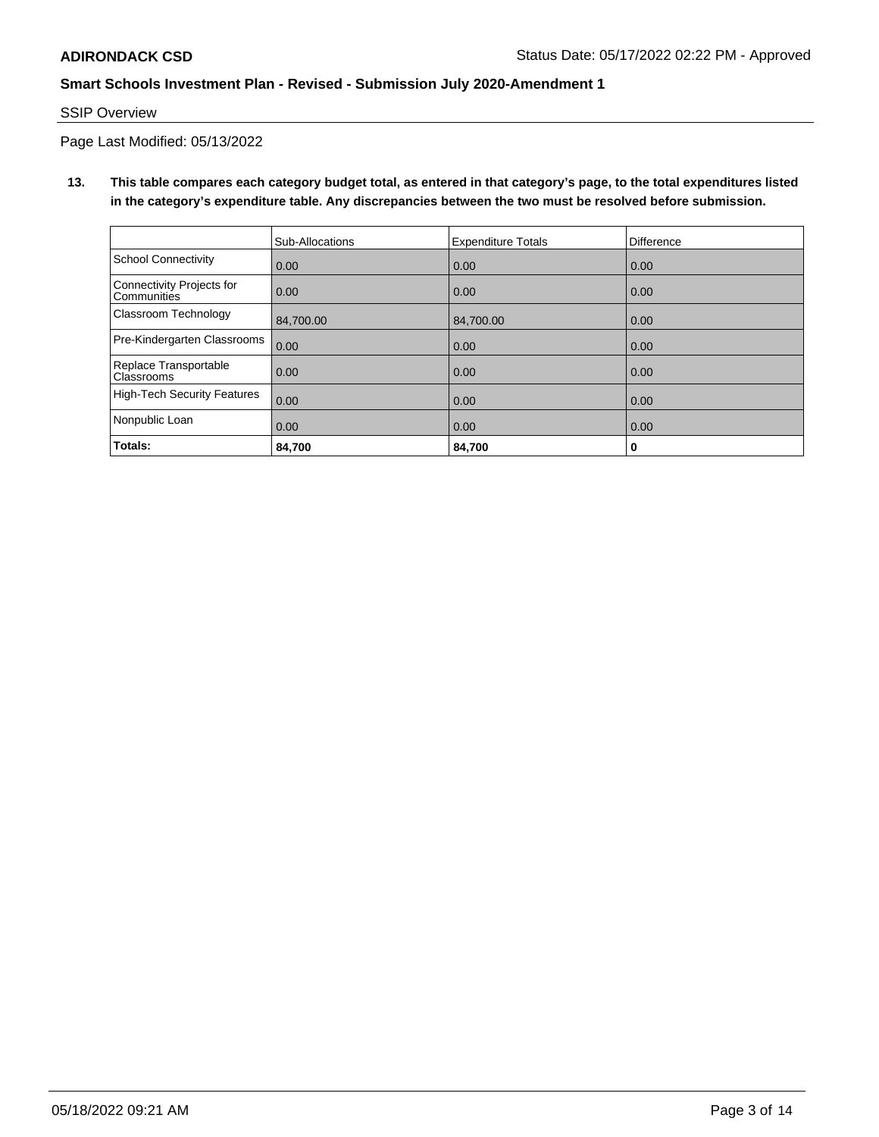## SSIP Overview

Page Last Modified: 05/13/2022

**13. This table compares each category budget total, as entered in that category's page, to the total expenditures listed in the category's expenditure table. Any discrepancies between the two must be resolved before submission.**

|                                            | Sub-Allocations | <b>Expenditure Totals</b> | <b>Difference</b> |
|--------------------------------------------|-----------------|---------------------------|-------------------|
| <b>School Connectivity</b>                 | 0.00            | 0.00                      | 0.00              |
| Connectivity Projects for<br>Communities   | 0.00            | 0.00                      | 0.00              |
| Classroom Technology                       | 84.700.00       | 84,700.00                 | 0.00              |
| Pre-Kindergarten Classrooms                | 0.00            | 0.00                      | 0.00              |
| Replace Transportable<br><b>Classrooms</b> | 0.00            | 0.00                      | 0.00              |
| <b>High-Tech Security Features</b>         | 0.00            | 0.00                      | 0.00              |
| Nonpublic Loan                             | 0.00            | 0.00                      | 0.00              |
| Totals:                                    | 84.700          | 84,700                    | 0                 |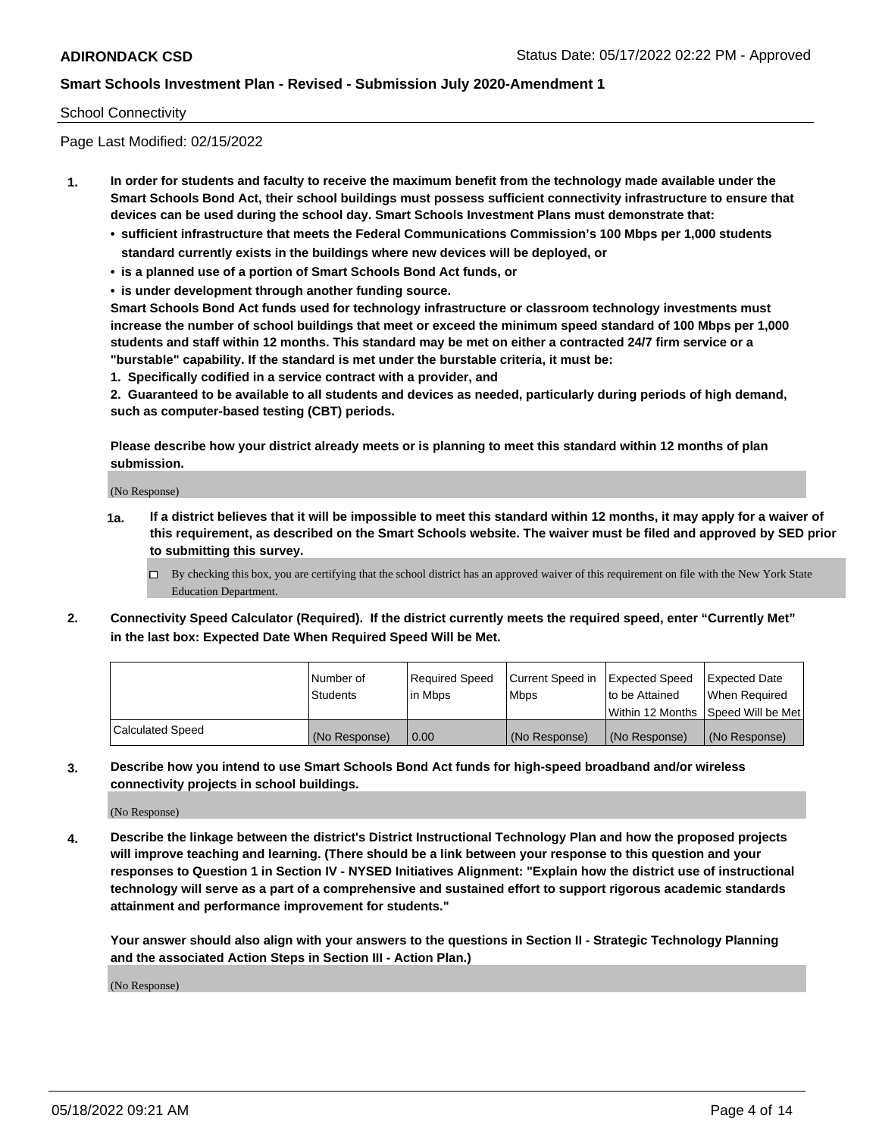#### School Connectivity

Page Last Modified: 02/15/2022

- **1. In order for students and faculty to receive the maximum benefit from the technology made available under the Smart Schools Bond Act, their school buildings must possess sufficient connectivity infrastructure to ensure that devices can be used during the school day. Smart Schools Investment Plans must demonstrate that:**
	- **• sufficient infrastructure that meets the Federal Communications Commission's 100 Mbps per 1,000 students standard currently exists in the buildings where new devices will be deployed, or**
	- **• is a planned use of a portion of Smart Schools Bond Act funds, or**
	- **• is under development through another funding source.**

**Smart Schools Bond Act funds used for technology infrastructure or classroom technology investments must increase the number of school buildings that meet or exceed the minimum speed standard of 100 Mbps per 1,000 students and staff within 12 months. This standard may be met on either a contracted 24/7 firm service or a "burstable" capability. If the standard is met under the burstable criteria, it must be:**

**1. Specifically codified in a service contract with a provider, and**

**2. Guaranteed to be available to all students and devices as needed, particularly during periods of high demand, such as computer-based testing (CBT) periods.**

**Please describe how your district already meets or is planning to meet this standard within 12 months of plan submission.**

(No Response)

- **1a. If a district believes that it will be impossible to meet this standard within 12 months, it may apply for a waiver of this requirement, as described on the Smart Schools website. The waiver must be filed and approved by SED prior to submitting this survey.**
	- By checking this box, you are certifying that the school district has an approved waiver of this requirement on file with the New York State Education Department.
- **2. Connectivity Speed Calculator (Required). If the district currently meets the required speed, enter "Currently Met" in the last box: Expected Date When Required Speed Will be Met.**

|                  | l Number of     | Required Speed | Current Speed in Expected Speed |                                    | Expected Date |
|------------------|-----------------|----------------|---------------------------------|------------------------------------|---------------|
|                  | <b>Students</b> | l in Mbps      | <b>Mbps</b>                     | to be Attained                     | When Reauired |
|                  |                 |                |                                 | Within 12 Months Speed Will be Met |               |
| Calculated Speed | (No Response)   | 0.00           | (No Response)                   | (No Response)                      | (No Response) |

**3. Describe how you intend to use Smart Schools Bond Act funds for high-speed broadband and/or wireless connectivity projects in school buildings.**

(No Response)

**4. Describe the linkage between the district's District Instructional Technology Plan and how the proposed projects will improve teaching and learning. (There should be a link between your response to this question and your responses to Question 1 in Section IV - NYSED Initiatives Alignment: "Explain how the district use of instructional technology will serve as a part of a comprehensive and sustained effort to support rigorous academic standards attainment and performance improvement for students."** 

**Your answer should also align with your answers to the questions in Section II - Strategic Technology Planning and the associated Action Steps in Section III - Action Plan.)**

(No Response)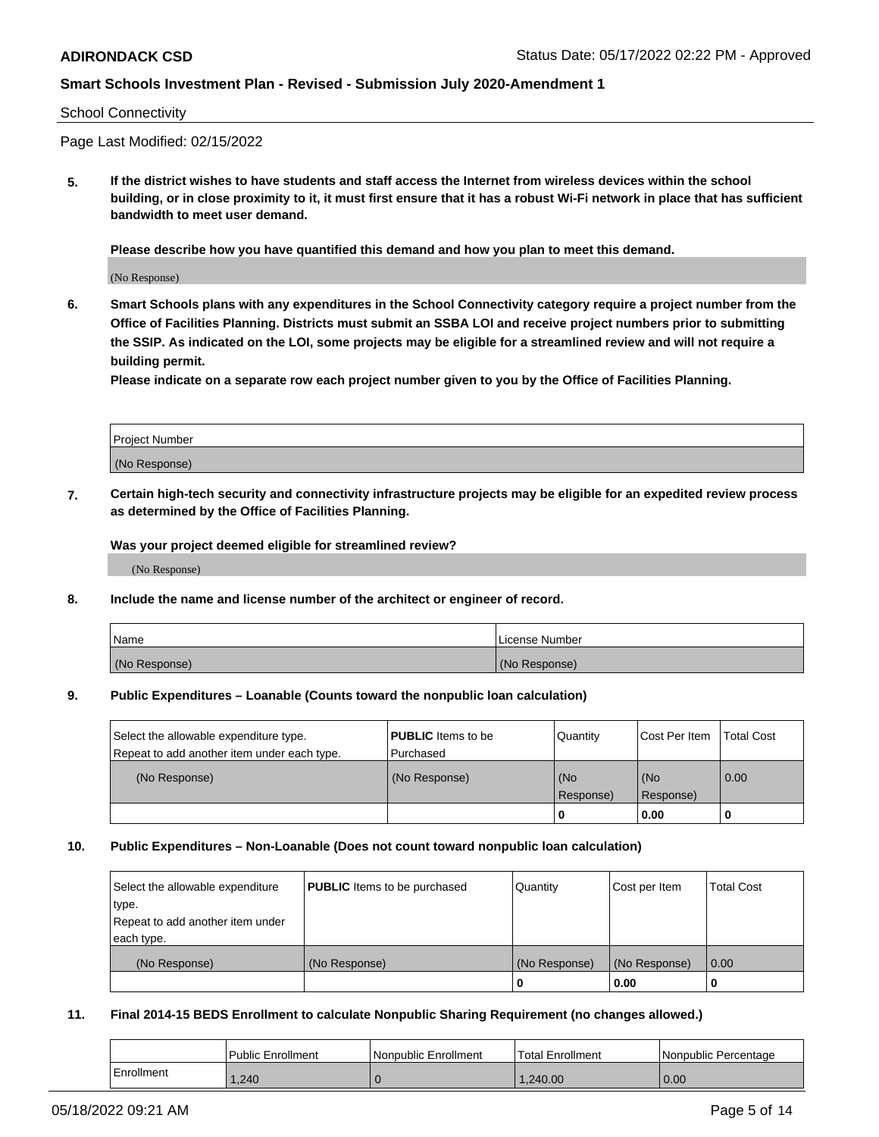#### School Connectivity

Page Last Modified: 02/15/2022

**5. If the district wishes to have students and staff access the Internet from wireless devices within the school building, or in close proximity to it, it must first ensure that it has a robust Wi-Fi network in place that has sufficient bandwidth to meet user demand.**

**Please describe how you have quantified this demand and how you plan to meet this demand.**

(No Response)

**6. Smart Schools plans with any expenditures in the School Connectivity category require a project number from the Office of Facilities Planning. Districts must submit an SSBA LOI and receive project numbers prior to submitting the SSIP. As indicated on the LOI, some projects may be eligible for a streamlined review and will not require a building permit.**

**Please indicate on a separate row each project number given to you by the Office of Facilities Planning.**

| Project Number   |  |
|------------------|--|
| (No<br>Response) |  |

**7. Certain high-tech security and connectivity infrastructure projects may be eligible for an expedited review process as determined by the Office of Facilities Planning.**

**Was your project deemed eligible for streamlined review?**

(No Response)

#### **8. Include the name and license number of the architect or engineer of record.**

| Name          | License Number |
|---------------|----------------|
| (No Response) | (No Response)  |

#### **9. Public Expenditures – Loanable (Counts toward the nonpublic loan calculation)**

| Select the allowable expenditure type.<br>Repeat to add another item under each type. | <b>PUBLIC</b> Items to be<br>l Purchased | Quantity         | Cost Per Item    | <b>Total Cost</b> |
|---------------------------------------------------------------------------------------|------------------------------------------|------------------|------------------|-------------------|
| (No Response)                                                                         | (No Response)                            | (No<br>Response) | (No<br>Response) | $\overline{0.00}$ |
|                                                                                       |                                          | -0               | 0.00             |                   |

#### **10. Public Expenditures – Non-Loanable (Does not count toward nonpublic loan calculation)**

| Select the allowable expenditure | <b>PUBLIC</b> Items to be purchased | Quantity      | Cost per Item | <b>Total Cost</b> |
|----------------------------------|-------------------------------------|---------------|---------------|-------------------|
| type.                            |                                     |               |               |                   |
| Repeat to add another item under |                                     |               |               |                   |
| each type.                       |                                     |               |               |                   |
| (No Response)                    | (No Response)                       | (No Response) | (No Response) | 0.00              |
|                                  |                                     | U             | 0.00          |                   |

#### **11. Final 2014-15 BEDS Enrollment to calculate Nonpublic Sharing Requirement (no changes allowed.)**

|            | <b>Public Enrollment</b> | Nonpublic Enrollment | <b>Total Enrollment</b> | Nonpublic Percentage |
|------------|--------------------------|----------------------|-------------------------|----------------------|
| Enrollment | .240                     |                      | 1.240.00                | 0.00                 |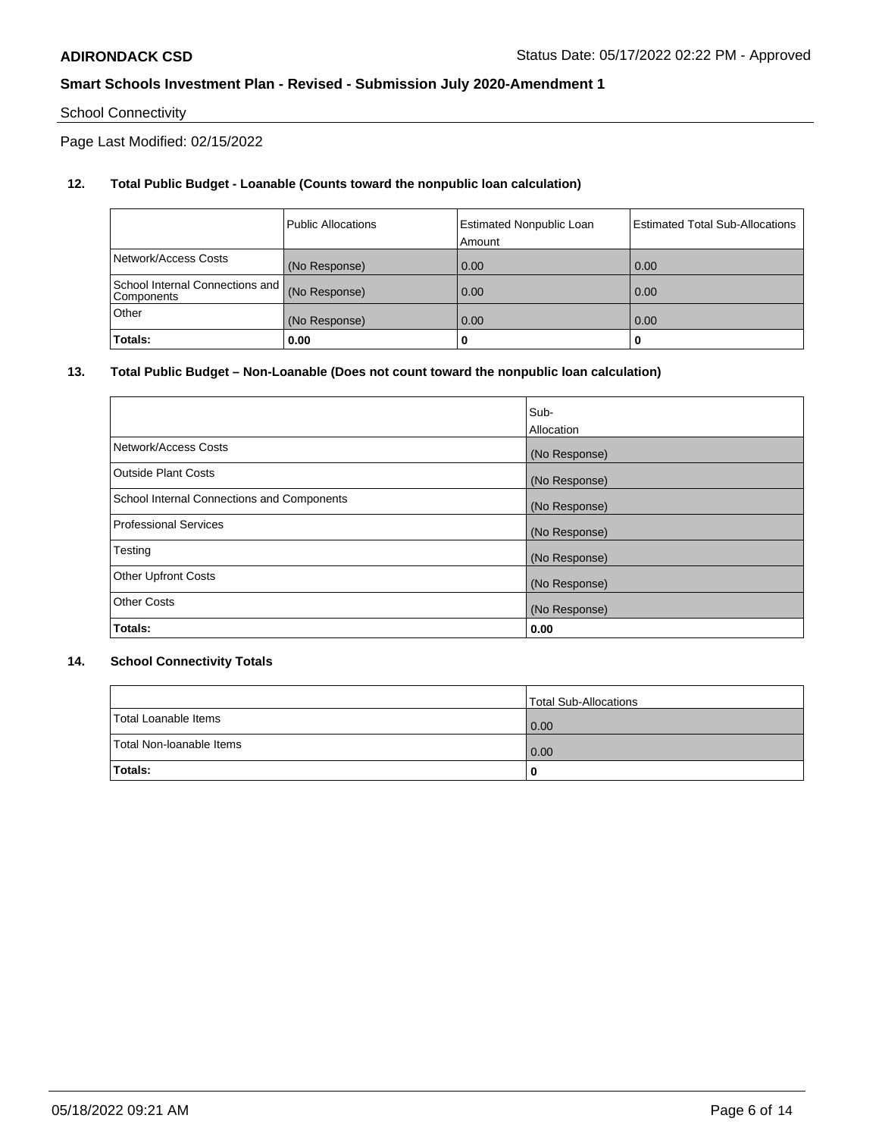## School Connectivity

Page Last Modified: 02/15/2022

## **12. Total Public Budget - Loanable (Counts toward the nonpublic loan calculation)**

|                                               | <b>Public Allocations</b> | <b>Estimated Nonpublic Loan</b><br>Amount | <b>Estimated Total Sub-Allocations</b> |
|-----------------------------------------------|---------------------------|-------------------------------------------|----------------------------------------|
| Network/Access Costs                          | (No Response)             | 0.00                                      | 0.00                                   |
| School Internal Connections and<br>Components | (No Response)             | 0.00                                      | 0.00                                   |
| Other                                         | (No Response)             | 0.00                                      | 0.00                                   |
| Totals:                                       | 0.00                      |                                           |                                        |

### **13. Total Public Budget – Non-Loanable (Does not count toward the nonpublic loan calculation)**

|                                            | Sub-          |
|--------------------------------------------|---------------|
|                                            | Allocation    |
| Network/Access Costs                       | (No Response) |
| <b>Outside Plant Costs</b>                 | (No Response) |
| School Internal Connections and Components | (No Response) |
| <b>Professional Services</b>               | (No Response) |
| Testing                                    | (No Response) |
| <b>Other Upfront Costs</b>                 | (No Response) |
| <b>Other Costs</b>                         | (No Response) |
| Totals:                                    | 0.00          |

### **14. School Connectivity Totals**

|                          | Total Sub-Allocations |
|--------------------------|-----------------------|
| Total Loanable Items     | 0.00                  |
| Total Non-Ioanable Items | 0.00                  |
| Totals:                  | 0                     |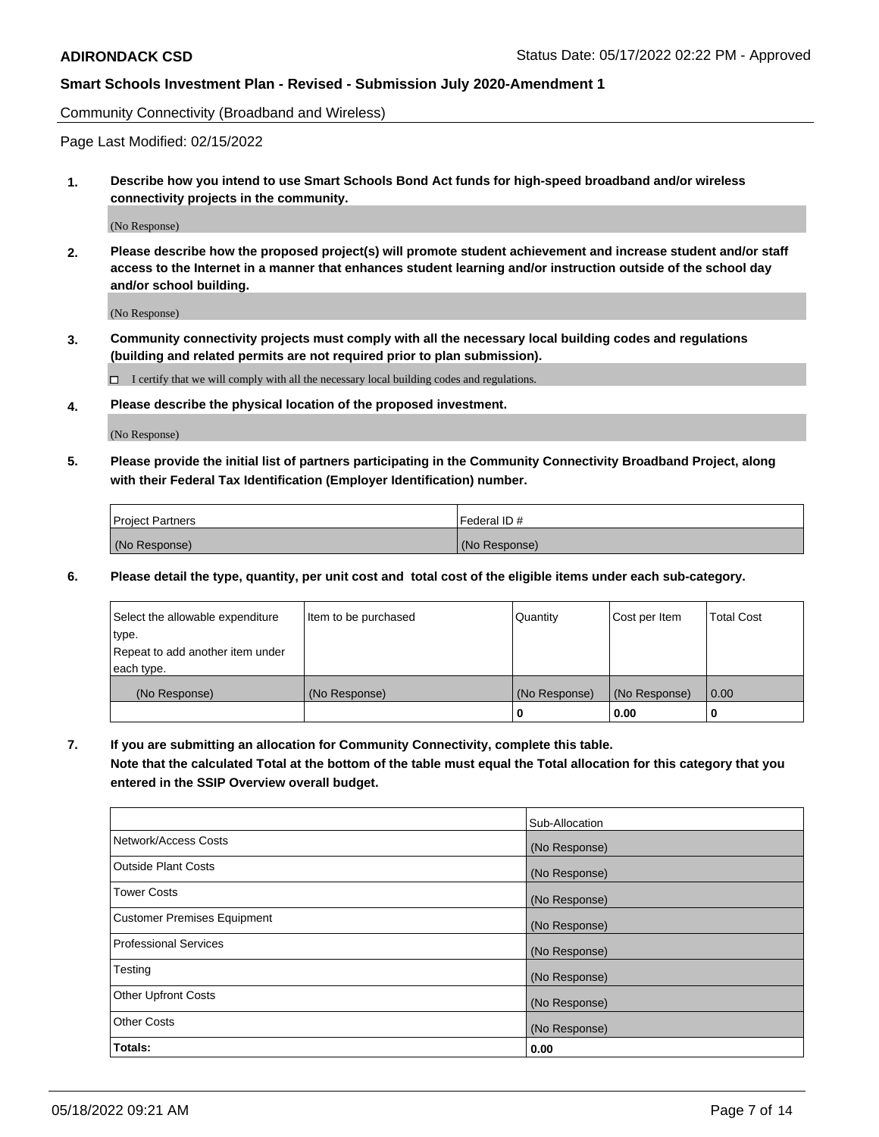Community Connectivity (Broadband and Wireless)

Page Last Modified: 02/15/2022

**1. Describe how you intend to use Smart Schools Bond Act funds for high-speed broadband and/or wireless connectivity projects in the community.**

(No Response)

**2. Please describe how the proposed project(s) will promote student achievement and increase student and/or staff access to the Internet in a manner that enhances student learning and/or instruction outside of the school day and/or school building.**

(No Response)

**3. Community connectivity projects must comply with all the necessary local building codes and regulations (building and related permits are not required prior to plan submission).**

 $\Box$  I certify that we will comply with all the necessary local building codes and regulations.

**4. Please describe the physical location of the proposed investment.**

(No Response)

**5. Please provide the initial list of partners participating in the Community Connectivity Broadband Project, along with their Federal Tax Identification (Employer Identification) number.**

| <b>Project Partners</b> | Federal ID#   |
|-------------------------|---------------|
| (No Response)           | (No Response) |

**6. Please detail the type, quantity, per unit cost and total cost of the eligible items under each sub-category.**

| Select the allowable expenditure          | Item to be purchased | Quantity      | Cost per Item | <b>Total Cost</b> |
|-------------------------------------------|----------------------|---------------|---------------|-------------------|
| type.<br>Repeat to add another item under |                      |               |               |                   |
| each type.                                |                      |               |               |                   |
| (No Response)                             | (No Response)        | (No Response) | (No Response) | 0.00              |
|                                           |                      | 0             | 0.00          |                   |

**7. If you are submitting an allocation for Community Connectivity, complete this table.**

**Note that the calculated Total at the bottom of the table must equal the Total allocation for this category that you entered in the SSIP Overview overall budget.**

|                                    | Sub-Allocation |
|------------------------------------|----------------|
| Network/Access Costs               | (No Response)  |
| Outside Plant Costs                | (No Response)  |
| <b>Tower Costs</b>                 | (No Response)  |
| <b>Customer Premises Equipment</b> | (No Response)  |
| Professional Services              | (No Response)  |
| Testing                            | (No Response)  |
| <b>Other Upfront Costs</b>         | (No Response)  |
| <b>Other Costs</b>                 | (No Response)  |
| Totals:                            | 0.00           |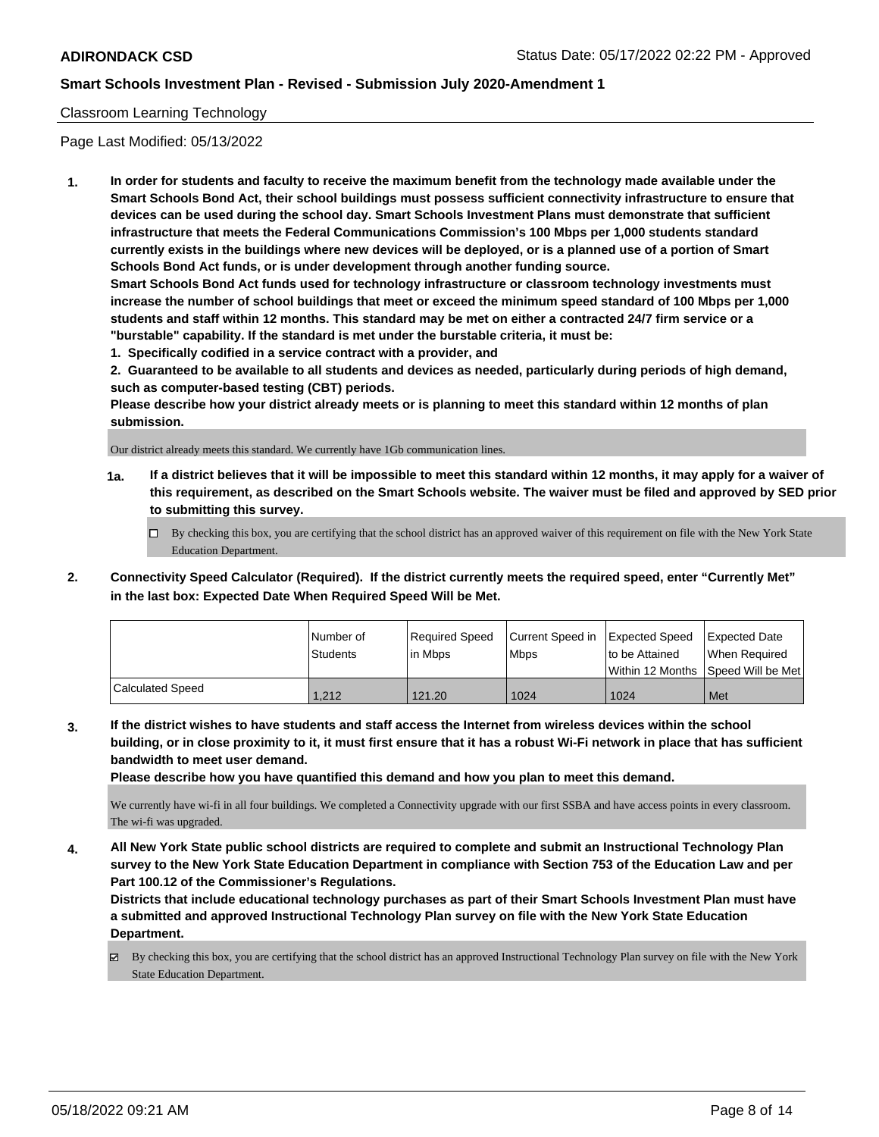### Classroom Learning Technology

Page Last Modified: 05/13/2022

**1. In order for students and faculty to receive the maximum benefit from the technology made available under the Smart Schools Bond Act, their school buildings must possess sufficient connectivity infrastructure to ensure that devices can be used during the school day. Smart Schools Investment Plans must demonstrate that sufficient infrastructure that meets the Federal Communications Commission's 100 Mbps per 1,000 students standard currently exists in the buildings where new devices will be deployed, or is a planned use of a portion of Smart Schools Bond Act funds, or is under development through another funding source.**

**Smart Schools Bond Act funds used for technology infrastructure or classroom technology investments must increase the number of school buildings that meet or exceed the minimum speed standard of 100 Mbps per 1,000 students and staff within 12 months. This standard may be met on either a contracted 24/7 firm service or a "burstable" capability. If the standard is met under the burstable criteria, it must be:**

**1. Specifically codified in a service contract with a provider, and**

**2. Guaranteed to be available to all students and devices as needed, particularly during periods of high demand, such as computer-based testing (CBT) periods.**

**Please describe how your district already meets or is planning to meet this standard within 12 months of plan submission.**

Our district already meets this standard. We currently have 1Gb communication lines.

- **1a. If a district believes that it will be impossible to meet this standard within 12 months, it may apply for a waiver of this requirement, as described on the Smart Schools website. The waiver must be filed and approved by SED prior to submitting this survey.**
	- By checking this box, you are certifying that the school district has an approved waiver of this requirement on file with the New York State Education Department.
- **2. Connectivity Speed Calculator (Required). If the district currently meets the required speed, enter "Currently Met" in the last box: Expected Date When Required Speed Will be Met.**

|                  | Number of | Required Speed | Current Speed in   Expected Speed |                | <b>Expected Date</b>                    |
|------------------|-----------|----------------|-----------------------------------|----------------|-----------------------------------------|
|                  | Students  | lin Mbps       | <b>Mbps</b>                       | to be Attained | When Required                           |
|                  |           |                |                                   |                | l Within 12 Months ISpeed Will be Met l |
| Calculated Speed | 1.212     | 121.20         | 1024                              | 1024           | Met                                     |

**3. If the district wishes to have students and staff access the Internet from wireless devices within the school building, or in close proximity to it, it must first ensure that it has a robust Wi-Fi network in place that has sufficient bandwidth to meet user demand.**

**Please describe how you have quantified this demand and how you plan to meet this demand.**

We currently have wi-fi in all four buildings. We completed a Connectivity upgrade with our first SSBA and have access points in every classroom. The wi-fi was upgraded.

**4. All New York State public school districts are required to complete and submit an Instructional Technology Plan survey to the New York State Education Department in compliance with Section 753 of the Education Law and per Part 100.12 of the Commissioner's Regulations.**

**Districts that include educational technology purchases as part of their Smart Schools Investment Plan must have a submitted and approved Instructional Technology Plan survey on file with the New York State Education Department.**

By checking this box, you are certifying that the school district has an approved Instructional Technology Plan survey on file with the New York State Education Department.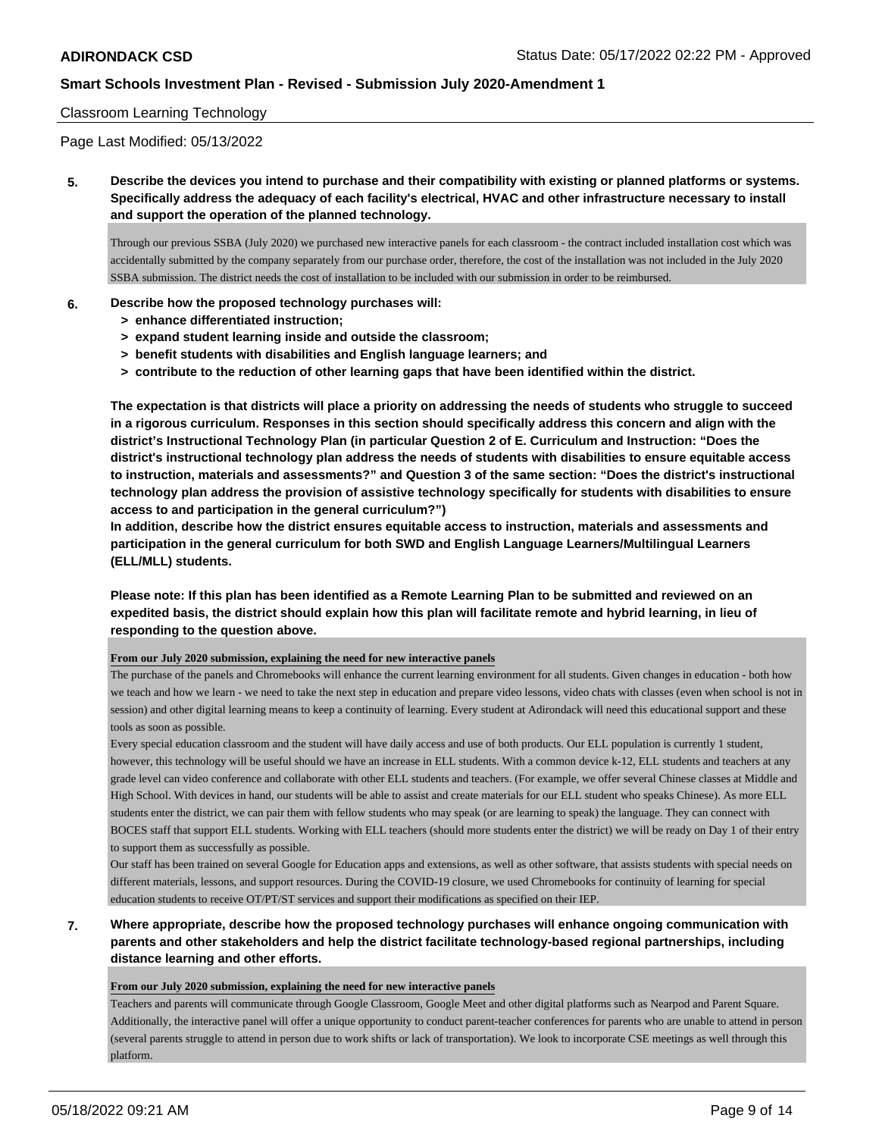### Classroom Learning Technology

Page Last Modified: 05/13/2022

**5. Describe the devices you intend to purchase and their compatibility with existing or planned platforms or systems. Specifically address the adequacy of each facility's electrical, HVAC and other infrastructure necessary to install and support the operation of the planned technology.**

Through our previous SSBA (July 2020) we purchased new interactive panels for each classroom - the contract included installation cost which was accidentally submitted by the company separately from our purchase order, therefore, the cost of the installation was not included in the July 2020 SSBA submission. The district needs the cost of installation to be included with our submission in order to be reimbursed.

#### **6. Describe how the proposed technology purchases will:**

- **> enhance differentiated instruction;**
- **> expand student learning inside and outside the classroom;**
- **> benefit students with disabilities and English language learners; and**
- **> contribute to the reduction of other learning gaps that have been identified within the district.**

**The expectation is that districts will place a priority on addressing the needs of students who struggle to succeed in a rigorous curriculum. Responses in this section should specifically address this concern and align with the district's Instructional Technology Plan (in particular Question 2 of E. Curriculum and Instruction: "Does the district's instructional technology plan address the needs of students with disabilities to ensure equitable access to instruction, materials and assessments?" and Question 3 of the same section: "Does the district's instructional technology plan address the provision of assistive technology specifically for students with disabilities to ensure access to and participation in the general curriculum?")**

**In addition, describe how the district ensures equitable access to instruction, materials and assessments and participation in the general curriculum for both SWD and English Language Learners/Multilingual Learners (ELL/MLL) students.**

## **Please note: If this plan has been identified as a Remote Learning Plan to be submitted and reviewed on an expedited basis, the district should explain how this plan will facilitate remote and hybrid learning, in lieu of responding to the question above.**

**From our July 2020 submission, explaining the need for new interactive panels**

The purchase of the panels and Chromebooks will enhance the current learning environment for all students. Given changes in education - both how we teach and how we learn - we need to take the next step in education and prepare video lessons, video chats with classes (even when school is not in session) and other digital learning means to keep a continuity of learning. Every student at Adirondack will need this educational support and these tools as soon as possible.

Every special education classroom and the student will have daily access and use of both products. Our ELL population is currently 1 student, however, this technology will be useful should we have an increase in ELL students. With a common device k-12, ELL students and teachers at any grade level can video conference and collaborate with other ELL students and teachers. (For example, we offer several Chinese classes at Middle and High School. With devices in hand, our students will be able to assist and create materials for our ELL student who speaks Chinese). As more ELL students enter the district, we can pair them with fellow students who may speak (or are learning to speak) the language. They can connect with BOCES staff that support ELL students. Working with ELL teachers (should more students enter the district) we will be ready on Day 1 of their entry to support them as successfully as possible.

Our staff has been trained on several Google for Education apps and extensions, as well as other software, that assists students with special needs on different materials, lessons, and support resources. During the COVID-19 closure, we used Chromebooks for continuity of learning for special education students to receive OT/PT/ST services and support their modifications as specified on their IEP.

**7. Where appropriate, describe how the proposed technology purchases will enhance ongoing communication with parents and other stakeholders and help the district facilitate technology-based regional partnerships, including distance learning and other efforts.**

#### **From our July 2020 submission, explaining the need for new interactive panels**

Teachers and parents will communicate through Google Classroom, Google Meet and other digital platforms such as Nearpod and Parent Square. Additionally, the interactive panel will offer a unique opportunity to conduct parent-teacher conferences for parents who are unable to attend in person (several parents struggle to attend in person due to work shifts or lack of transportation). We look to incorporate CSE meetings as well through this platform.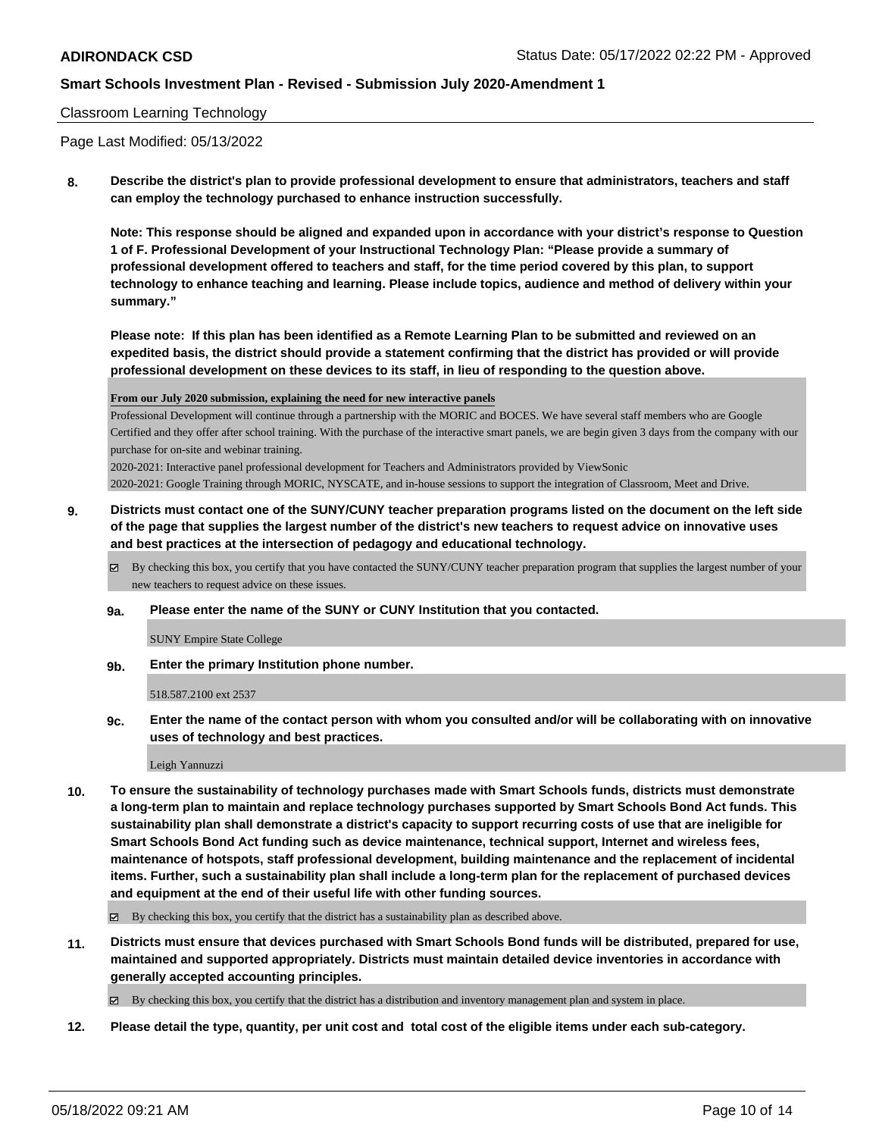#### Classroom Learning Technology

Page Last Modified: 05/13/2022

**8. Describe the district's plan to provide professional development to ensure that administrators, teachers and staff can employ the technology purchased to enhance instruction successfully.**

**Note: This response should be aligned and expanded upon in accordance with your district's response to Question 1 of F. Professional Development of your Instructional Technology Plan: "Please provide a summary of professional development offered to teachers and staff, for the time period covered by this plan, to support technology to enhance teaching and learning. Please include topics, audience and method of delivery within your summary."**

**Please note: If this plan has been identified as a Remote Learning Plan to be submitted and reviewed on an expedited basis, the district should provide a statement confirming that the district has provided or will provide professional development on these devices to its staff, in lieu of responding to the question above.**

**From our July 2020 submission, explaining the need for new interactive panels**

Professional Development will continue through a partnership with the MORIC and BOCES. We have several staff members who are Google Certified and they offer after school training. With the purchase of the interactive smart panels, we are begin given 3 days from the company with our purchase for on-site and webinar training.

2020-2021: Interactive panel professional development for Teachers and Administrators provided by ViewSonic

2020-2021: Google Training through MORIC, NYSCATE, and in-house sessions to support the integration of Classroom, Meet and Drive.

- **9. Districts must contact one of the SUNY/CUNY teacher preparation programs listed on the document on the left side of the page that supplies the largest number of the district's new teachers to request advice on innovative uses and best practices at the intersection of pedagogy and educational technology.**
	- By checking this box, you certify that you have contacted the SUNY/CUNY teacher preparation program that supplies the largest number of your new teachers to request advice on these issues.
	- **9a. Please enter the name of the SUNY or CUNY Institution that you contacted.**

SUNY Empire State College

**9b. Enter the primary Institution phone number.**

518.587.2100 ext 2537

**9c. Enter the name of the contact person with whom you consulted and/or will be collaborating with on innovative uses of technology and best practices.**

Leigh Yannuzzi

**10. To ensure the sustainability of technology purchases made with Smart Schools funds, districts must demonstrate a long-term plan to maintain and replace technology purchases supported by Smart Schools Bond Act funds. This sustainability plan shall demonstrate a district's capacity to support recurring costs of use that are ineligible for Smart Schools Bond Act funding such as device maintenance, technical support, Internet and wireless fees, maintenance of hotspots, staff professional development, building maintenance and the replacement of incidental items. Further, such a sustainability plan shall include a long-term plan for the replacement of purchased devices and equipment at the end of their useful life with other funding sources.**

By checking this box, you certify that the district has a sustainability plan as described above.

**11. Districts must ensure that devices purchased with Smart Schools Bond funds will be distributed, prepared for use, maintained and supported appropriately. Districts must maintain detailed device inventories in accordance with generally accepted accounting principles.**

By checking this box, you certify that the district has a distribution and inventory management plan and system in place.

**12. Please detail the type, quantity, per unit cost and total cost of the eligible items under each sub-category.**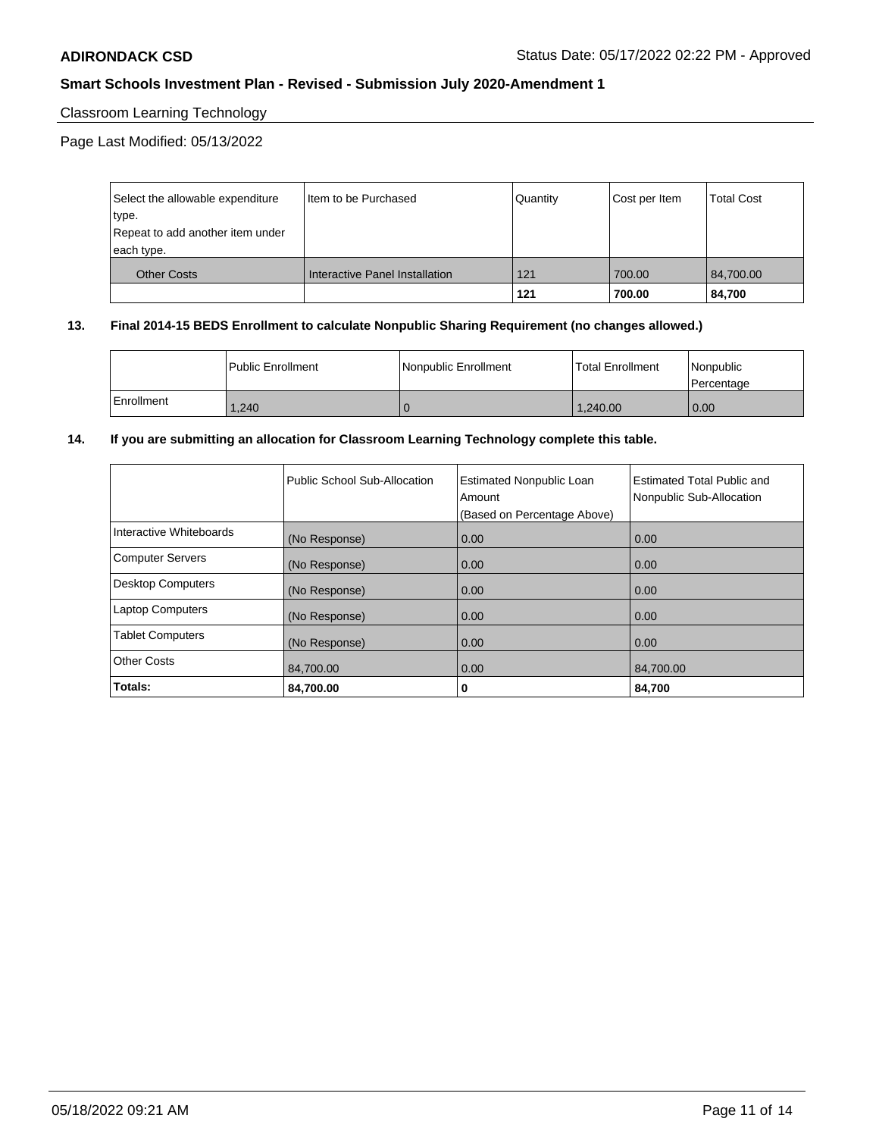## Classroom Learning Technology

Page Last Modified: 05/13/2022

| Select the allowable expenditure | I Item to be Purchased         | Quantity | Cost per Item | Total Cost |
|----------------------------------|--------------------------------|----------|---------------|------------|
| type.                            |                                |          |               |            |
| Repeat to add another item under |                                |          |               |            |
| each type.                       |                                |          |               |            |
| <b>Other Costs</b>               | Interactive Panel Installation | 121      | 700.00        | 84,700.00  |
|                                  |                                | 121      | 700.00        | 84,700     |

#### **13. Final 2014-15 BEDS Enrollment to calculate Nonpublic Sharing Requirement (no changes allowed.)**

|              | l Public Enrollment | Nonpublic Enrollment | <b>Total Enrollment</b> | l Nonpublic<br>l Percentage |
|--------------|---------------------|----------------------|-------------------------|-----------------------------|
| l Enrollment | 1,240               |                      | 1.240.00                | 0.00                        |

### **14. If you are submitting an allocation for Classroom Learning Technology complete this table.**

|                          | Public School Sub-Allocation | <b>Estimated Nonpublic Loan</b><br>Amount<br>(Based on Percentage Above) | Estimated Total Public and<br>Nonpublic Sub-Allocation |
|--------------------------|------------------------------|--------------------------------------------------------------------------|--------------------------------------------------------|
| Interactive Whiteboards  | (No Response)                | 0.00                                                                     | 0.00                                                   |
| <b>Computer Servers</b>  | (No Response)                | 0.00                                                                     | 0.00                                                   |
| <b>Desktop Computers</b> | (No Response)                | 0.00                                                                     | 0.00                                                   |
| <b>Laptop Computers</b>  | (No Response)                | 0.00                                                                     | 0.00                                                   |
| <b>Tablet Computers</b>  | (No Response)                | 0.00                                                                     | 0.00                                                   |
| <b>Other Costs</b>       | 84,700.00                    | 0.00                                                                     | 84,700.00                                              |
| Totals:                  | 84.700.00                    | 0                                                                        | 84,700                                                 |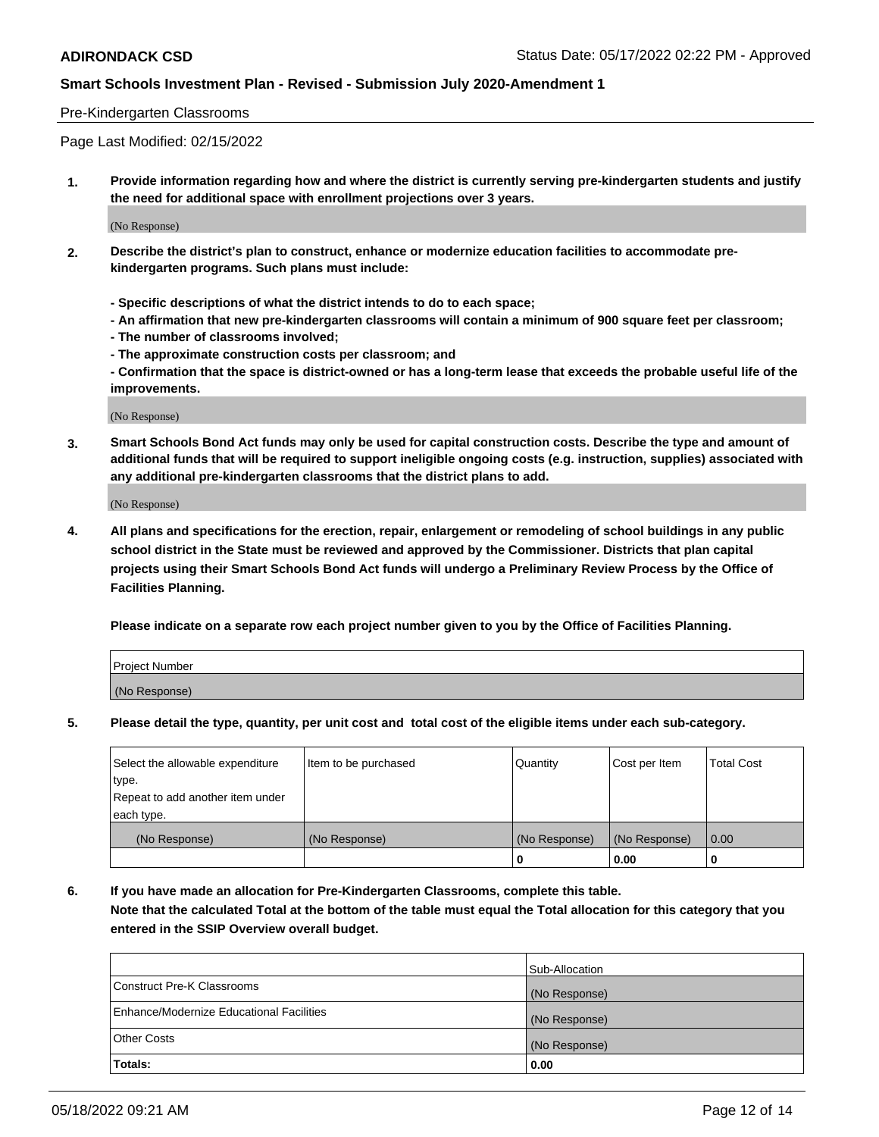#### Pre-Kindergarten Classrooms

Page Last Modified: 02/15/2022

**1. Provide information regarding how and where the district is currently serving pre-kindergarten students and justify the need for additional space with enrollment projections over 3 years.**

(No Response)

- **2. Describe the district's plan to construct, enhance or modernize education facilities to accommodate prekindergarten programs. Such plans must include:**
	- **Specific descriptions of what the district intends to do to each space;**
	- **An affirmation that new pre-kindergarten classrooms will contain a minimum of 900 square feet per classroom;**
	- **The number of classrooms involved;**
	- **The approximate construction costs per classroom; and**
	- **Confirmation that the space is district-owned or has a long-term lease that exceeds the probable useful life of the improvements.**

(No Response)

**3. Smart Schools Bond Act funds may only be used for capital construction costs. Describe the type and amount of additional funds that will be required to support ineligible ongoing costs (e.g. instruction, supplies) associated with any additional pre-kindergarten classrooms that the district plans to add.**

(No Response)

**4. All plans and specifications for the erection, repair, enlargement or remodeling of school buildings in any public school district in the State must be reviewed and approved by the Commissioner. Districts that plan capital projects using their Smart Schools Bond Act funds will undergo a Preliminary Review Process by the Office of Facilities Planning.**

**Please indicate on a separate row each project number given to you by the Office of Facilities Planning.**

| Project Number |  |
|----------------|--|
| (No Response)  |  |

**5. Please detail the type, quantity, per unit cost and total cost of the eligible items under each sub-category.**

| Select the allowable expenditure          | Item to be purchased | Quantity      | Cost per Item | <b>Total Cost</b> |
|-------------------------------------------|----------------------|---------------|---------------|-------------------|
| type.<br>Repeat to add another item under |                      |               |               |                   |
| each type.                                |                      |               |               |                   |
| (No Response)                             | (No Response)        | (No Response) | (No Response) | 0.00              |
|                                           |                      | o             | 0.00          |                   |

**6. If you have made an allocation for Pre-Kindergarten Classrooms, complete this table.**

**Note that the calculated Total at the bottom of the table must equal the Total allocation for this category that you entered in the SSIP Overview overall budget.**

| <b>Totals:</b>                           | 0.00           |
|------------------------------------------|----------------|
| <b>Other Costs</b>                       | (No Response)  |
| Enhance/Modernize Educational Facilities | (No Response)  |
| Construct Pre-K Classrooms               | (No Response)  |
|                                          | Sub-Allocation |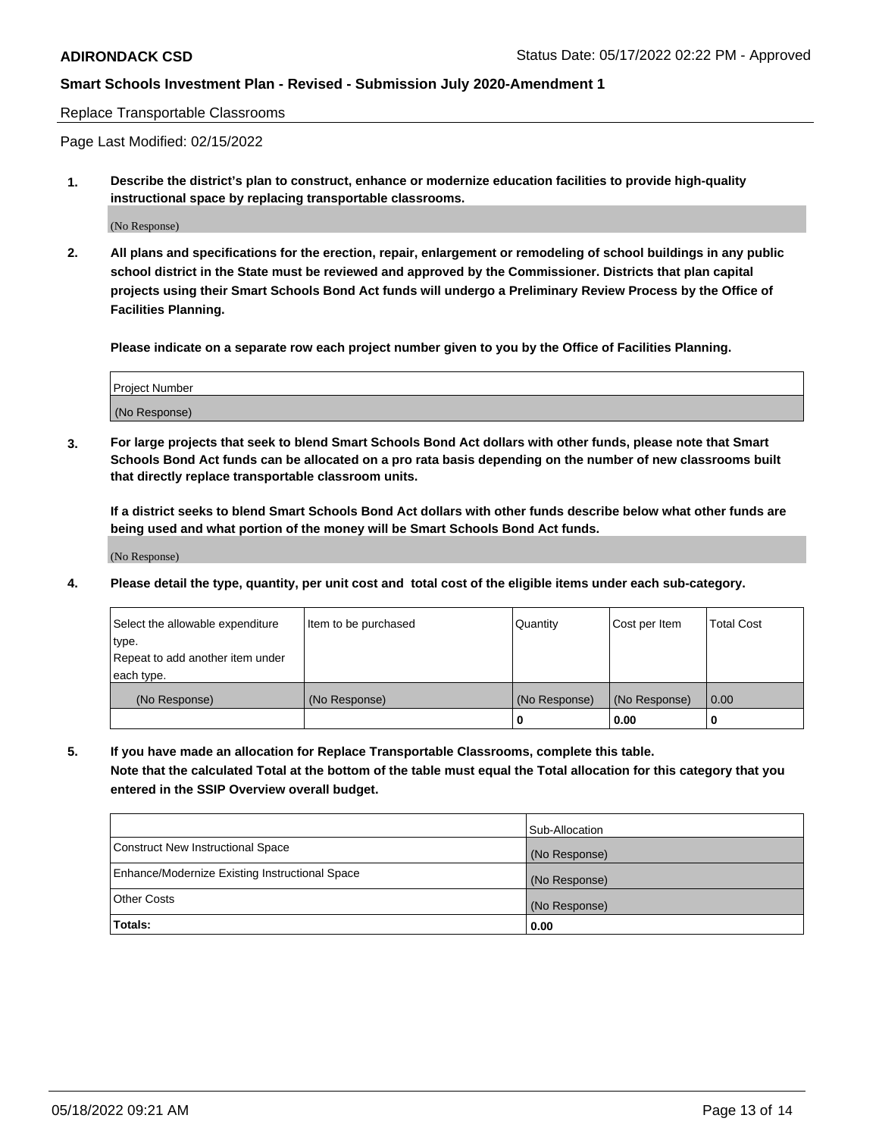Replace Transportable Classrooms

Page Last Modified: 02/15/2022

**1. Describe the district's plan to construct, enhance or modernize education facilities to provide high-quality instructional space by replacing transportable classrooms.**

(No Response)

**2. All plans and specifications for the erection, repair, enlargement or remodeling of school buildings in any public school district in the State must be reviewed and approved by the Commissioner. Districts that plan capital projects using their Smart Schools Bond Act funds will undergo a Preliminary Review Process by the Office of Facilities Planning.**

**Please indicate on a separate row each project number given to you by the Office of Facilities Planning.**

| <b>Project Number</b> |  |
|-----------------------|--|
| (No Response)         |  |

**3. For large projects that seek to blend Smart Schools Bond Act dollars with other funds, please note that Smart Schools Bond Act funds can be allocated on a pro rata basis depending on the number of new classrooms built that directly replace transportable classroom units.**

**If a district seeks to blend Smart Schools Bond Act dollars with other funds describe below what other funds are being used and what portion of the money will be Smart Schools Bond Act funds.**

(No Response)

**4. Please detail the type, quantity, per unit cost and total cost of the eligible items under each sub-category.**

| Select the allowable expenditure | Item to be purchased | Quantity      | Cost per Item | <b>Total Cost</b> |
|----------------------------------|----------------------|---------------|---------------|-------------------|
| type.                            |                      |               |               |                   |
| Repeat to add another item under |                      |               |               |                   |
| each type.                       |                      |               |               |                   |
| (No Response)                    | (No Response)        | (No Response) | (No Response) | 0.00              |
|                                  |                      | U             | 0.00          |                   |

**5. If you have made an allocation for Replace Transportable Classrooms, complete this table.**

**Note that the calculated Total at the bottom of the table must equal the Total allocation for this category that you entered in the SSIP Overview overall budget.**

|                                                | Sub-Allocation |
|------------------------------------------------|----------------|
| Construct New Instructional Space              | (No Response)  |
| Enhance/Modernize Existing Instructional Space | (No Response)  |
| <b>Other Costs</b>                             | (No Response)  |
| Totals:                                        | 0.00           |